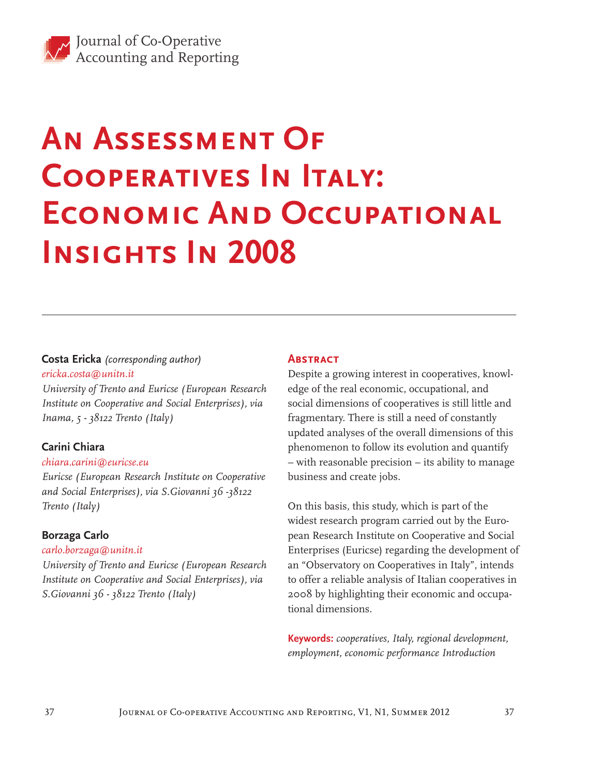# **An Assessment Of Cooperatives In Italy: ECONOMIC AND OCCUPATIONAL Insights In 2008**

### **Costa Ericka** *(corresponding author) ericka.costa@unitn.it*

*University of Trento and Euricse (European Research Institute on Cooperative and Social Enterprises), via Inama, 5 - 38122 Trento (Italy)*

# **Carini Chiara**

#### *chiara.carini@euricse.eu*

*Euricse (European Research Institute on Cooperative and Social Enterprises), via S.Giovanni 36 -38122 Trento (Italy)*

#### **Borzaga Carlo**

#### *carlo.borzaga@unitn.it*

*University of Trento and Euricse (European Research Institute on Cooperative and Social Enterprises), via S.Giovanni 36 - 38122 Trento (Italy)*

#### **ABSTRACT**

Despite a growing interest in cooperatives, knowledge of the real economic, occupational, and social dimensions of cooperatives is still little and fragmentary. There is still a need of constantly updated analyses of the overall dimensions of this phenomenon to follow its evolution and quantify – with reasonable precision – its ability to manage business and create jobs.

On this basis, this study, which is part of the widest research program carried out by the European Research Institute on Cooperative and Social Enterprises (Euricse) regarding the development of an "Observatory on Cooperatives in Italy", intends to offer a reliable analysis of Italian cooperatives in 2008 by highlighting their economic and occupational dimensions.

**Keywords:** *cooperatives, Italy, regional development, employment, economic performance Introduction*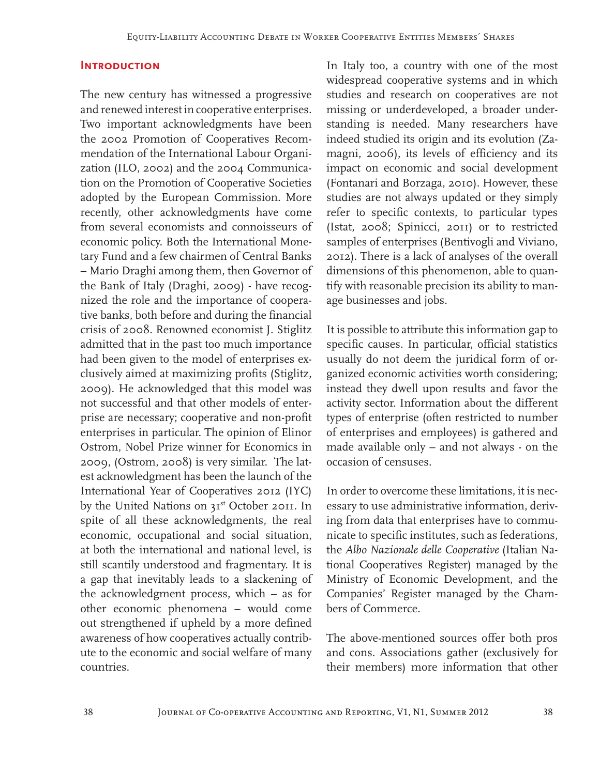#### **Introduction**

The new century has witnessed a progressive and renewed interest in cooperative enterprises. Two important acknowledgments have been the 2002 Promotion of Cooperatives Recommendation of the International Labour Organization (ILO, 2002) and the 2004 Communication on the Promotion of Cooperative Societies adopted by the European Commission. More recently, other acknowledgments have come from several economists and connoisseurs of economic policy. Both the International Monetary Fund and a few chairmen of Central Banks – Mario Draghi among them, then Governor of the Bank of Italy (Draghi, 2009) - have recognized the role and the importance of cooperative banks, both before and during the financial crisis of 2008. Renowned economist J. Stiglitz admitted that in the past too much importance had been given to the model of enterprises exclusively aimed at maximizing profits (Stiglitz, 2009). He acknowledged that this model was not successful and that other models of enterprise are necessary; cooperative and non-profit enterprises in particular. The opinion of Elinor Ostrom, Nobel Prize winner for Economics in 2009, (Ostrom, 2008) is very similar. The latest acknowledgment has been the launch of the International Year of Cooperatives 2012 (IYC) by the United Nations on 31<sup>st</sup> October 2011. In spite of all these acknowledgments, the real economic, occupational and social situation, at both the international and national level, is still scantily understood and fragmentary. It is a gap that inevitably leads to a slackening of the acknowledgment process, which – as for other economic phenomena – would come out strengthened if upheld by a more defined awareness of how cooperatives actually contribute to the economic and social welfare of many countries.

In Italy too, a country with one of the most widespread cooperative systems and in which studies and research on cooperatives are not missing or underdeveloped, a broader understanding is needed. Many researchers have indeed studied its origin and its evolution (Zamagni, 2006), its levels of efficiency and its impact on economic and social development (Fontanari and Borzaga, 2010). However, these studies are not always updated or they simply refer to specific contexts, to particular types (Istat, 2008; Spinicci, 2011) or to restricted samples of enterprises (Bentivogli and Viviano, 2012). There is a lack of analyses of the overall dimensions of this phenomenon, able to quantify with reasonable precision its ability to manage businesses and jobs.

It is possible to attribute this information gap to specific causes. In particular, official statistics usually do not deem the juridical form of organized economic activities worth considering; instead they dwell upon results and favor the activity sector. Information about the different types of enterprise (often restricted to number of enterprises and employees) is gathered and made available only – and not always - on the occasion of censuses.

In order to overcome these limitations, it is necessary to use administrative information, deriving from data that enterprises have to communicate to specific institutes, such as federations, the *Albo Nazionale delle Cooperative* (Italian National Cooperatives Register) managed by the Ministry of Economic Development, and the Companies' Register managed by the Chambers of Commerce.

The above-mentioned sources offer both pros and cons. Associations gather (exclusively for their members) more information that other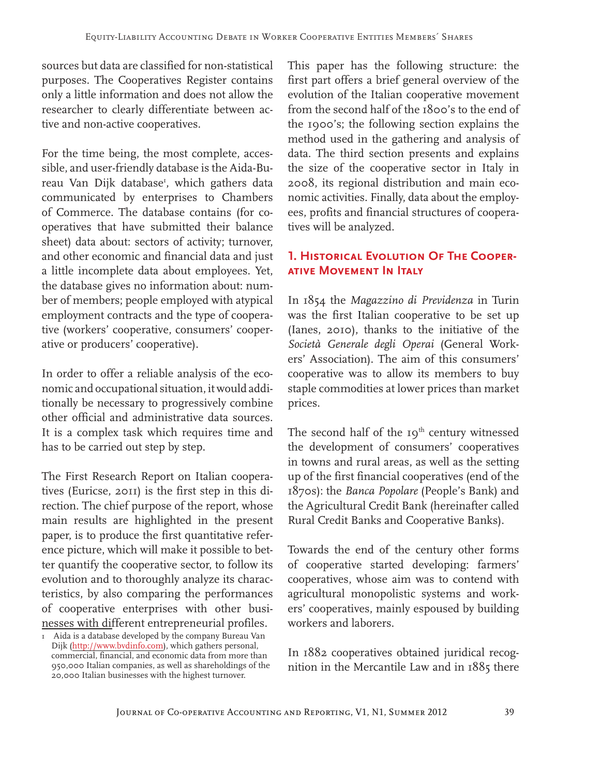sources but data are classified for non-statistical purposes. The Cooperatives Register contains only a little information and does not allow the researcher to clearly differentiate between active and non-active cooperatives.

For the time being, the most complete, accessible, and user-friendly database is the Aida-Bureau Van Dijk database<sup>r</sup>, which gathers data communicated by enterprises to Chambers of Commerce. The database contains (for cooperatives that have submitted their balance sheet) data about: sectors of activity; turnover, and other economic and financial data and just a little incomplete data about employees. Yet, the database gives no information about: number of members; people employed with atypical employment contracts and the type of cooperative (workers' cooperative, consumers' cooperative or producers' cooperative).

In order to offer a reliable analysis of the economic and occupational situation, it would additionally be necessary to progressively combine other official and administrative data sources. It is a complex task which requires time and has to be carried out step by step.

The First Research Report on Italian cooperatives (Euricse, 2011) is the first step in this direction. The chief purpose of the report, whose main results are highlighted in the present paper, is to produce the first quantitative reference picture, which will make it possible to better quantify the cooperative sector, to follow its evolution and to thoroughly analyze its characteristics, by also comparing the performances of cooperative enterprises with other businesses with different entrepreneurial profiles.

This paper has the following structure: the first part offers a brief general overview of the evolution of the Italian cooperative movement from the second half of the 1800's to the end of the 1900's; the following section explains the method used in the gathering and analysis of data. The third section presents and explains the size of the cooperative sector in Italy in 2008, its regional distribution and main economic activities. Finally, data about the employees, profits and financial structures of cooperatives will be analyzed.

# **1. Historical Evolution Of The Cooperative Movement In Italy**

In 1854 the *Magazzino di Previdenza* in Turin was the first Italian cooperative to be set up (Ianes, 2010), thanks to the initiative of the *Società Generale degli Operai* (General Workers' Association). The aim of this consumers' cooperative was to allow its members to buy staple commodities at lower prices than market prices.

The second half of the 19<sup>th</sup> century witnessed the development of consumers' cooperatives in towns and rural areas, as well as the setting up of the first financial cooperatives (end of the 1870s): the *Banca Popolare* (People's Bank) and the Agricultural Credit Bank (hereinafter called Rural Credit Banks and Cooperative Banks).

Towards the end of the century other forms of cooperative started developing: farmers' cooperatives, whose aim was to contend with agricultural monopolistic systems and workers' cooperatives, mainly espoused by building workers and laborers.

In 1882 cooperatives obtained juridical recognition in the Mercantile Law and in 1885 there

 $\overline{1}$  Aida is a database developed by the company Bureau Van Dijk (http://www.bvdinfo.com), which gathers personal, commercial, financial, and economic data from more than 950,000 Italian companies, as well as shareholdings of the 20,000 Italian businesses with the highest turnover.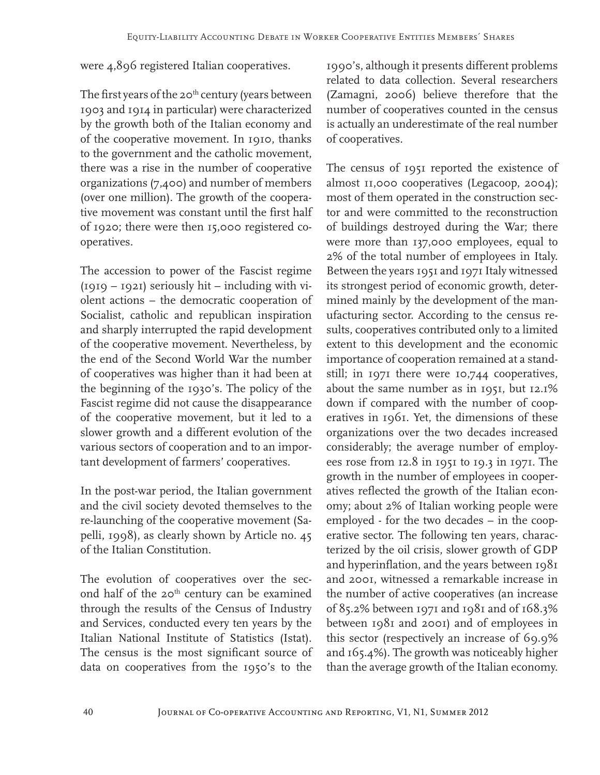# were 4,896 registered Italian cooperatives.

The first years of the 20<sup>th</sup> century (years between 1903 and 1914 in particular) were characterized by the growth both of the Italian economy and of the cooperative movement. In 1910, thanks to the government and the catholic movement, there was a rise in the number of cooperative organizations (7,400) and number of members (over one million). The growth of the cooperative movement was constant until the first half of 1920; there were then 15,000 registered cooperatives.

The accession to power of the Fascist regime (1919 – 1921) seriously hit – including with violent actions – the democratic cooperation of Socialist, catholic and republican inspiration and sharply interrupted the rapid development of the cooperative movement. Nevertheless, by the end of the Second World War the number of cooperatives was higher than it had been at the beginning of the 1930's. The policy of the Fascist regime did not cause the disappearance of the cooperative movement, but it led to a slower growth and a different evolution of the various sectors of cooperation and to an important development of farmers' cooperatives.

In the post-war period, the Italian government and the civil society devoted themselves to the re-launching of the cooperative movement (Sapelli, 1998), as clearly shown by Article no. 45 of the Italian Constitution.

The evolution of cooperatives over the second half of the 20<sup>th</sup> century can be examined through the results of the Census of Industry and Services, conducted every ten years by the Italian National Institute of Statistics (Istat). The census is the most significant source of data on cooperatives from the 1950's to the

1990's, although it presents different problems related to data collection. Several researchers (Zamagni, 2006) believe therefore that the number of cooperatives counted in the census is actually an underestimate of the real number of cooperatives.

The census of 1951 reported the existence of almost 11,000 cooperatives (Legacoop, 2004); most of them operated in the construction sector and were committed to the reconstruction of buildings destroyed during the War; there were more than 137,000 employees, equal to 2% of the total number of employees in Italy. Between the years 1951 and 1971 Italy witnessed its strongest period of economic growth, determined mainly by the development of the manufacturing sector. According to the census results, cooperatives contributed only to a limited extent to this development and the economic importance of cooperation remained at a standstill; in 1971 there were 10,744 cooperatives, about the same number as in 1951, but 12.1% down if compared with the number of cooperatives in 1961. Yet, the dimensions of these organizations over the two decades increased considerably; the average number of employees rose from 12.8 in 1951 to 19.3 in 1971. The growth in the number of employees in cooperatives reflected the growth of the Italian economy; about 2% of Italian working people were employed - for the two decades – in the cooperative sector. The following ten years, characterized by the oil crisis, slower growth of GDP and hyperinflation, and the years between 1981 and 2001, witnessed a remarkable increase in the number of active cooperatives (an increase of 85.2% between 1971 and 1981 and of 168.3% between 1981 and 2001) and of employees in this sector (respectively an increase of 69.9% and 165.4%). The growth was noticeably higher than the average growth of the Italian economy.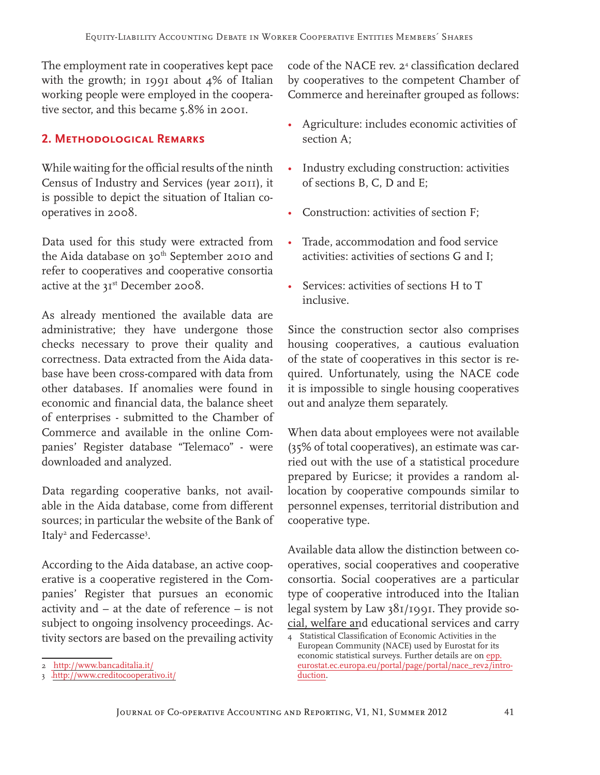The employment rate in cooperatives kept pace with the growth; in 1991 about 4% of Italian working people were employed in the cooperative sector, and this became 5.8% in 2001.

# **2. Methodological Remarks**

While waiting for the official results of the ninth Census of Industry and Services (year 2011), it is possible to depict the situation of Italian cooperatives in 2008.

Data used for this study were extracted from the Aida database on 30<sup>th</sup> September 2010 and refer to cooperatives and cooperative consortia active at the 31<sup>st</sup> December 2008.

As already mentioned the available data are administrative; they have undergone those checks necessary to prove their quality and correctness. Data extracted from the Aida database have been cross-compared with data from other databases. If anomalies were found in economic and financial data, the balance sheet of enterprises - submitted to the Chamber of Commerce and available in the online Companies' Register database "Telemaco" - were downloaded and analyzed.

Data regarding cooperative banks, not available in the Aida database, come from different sources; in particular the website of the Bank of Italy<sup>2</sup> and Federcasse<sup>3</sup>.

According to the Aida database, an active cooperative is a cooperative registered in the Companies' Register that pursues an economic activity and – at the date of reference – is not subject to ongoing insolvency proceedings. Activity sectors are based on the prevailing activity

code of the NACE rev. 24 classification declared by cooperatives to the competent Chamber of Commerce and hereinafter grouped as follows:

- Agriculture: includes economic activities of section A;
- Industry excluding construction: activities of sections B, C, D and E;
- Construction: activities of section F;
- Trade, accommodation and food service activities: activities of sections G and I;
- Services: activities of sections H to T inclusive.

Since the construction sector also comprises housing cooperatives, a cautious evaluation of the state of cooperatives in this sector is required. Unfortunately, using the NACE code it is impossible to single housing cooperatives out and analyze them separately.

When data about employees were not available (35% of total cooperatives), an estimate was carried out with the use of a statistical procedure prepared by Euricse; it provides a random allocation by cooperative compounds similar to personnel expenses, territorial distribution and cooperative type.

Available data allow the distinction between cooperatives, social cooperatives and cooperative consortia. Social cooperatives are a particular type of cooperative introduced into the Italian legal system by Law 381/1991. They provide social, welfare and educational services and carry

<sup>2</sup> http://www.bancaditalia.it/

<sup>3</sup> http://www.creditocooperativo.it/

<sup>4</sup> Statistical Classification of Economic Activities in the European Community (NACE) used by Eurostat for its economic statistical surveys. Further details are on epp. eurostat.ec.europa.eu/portal/page/portal/nace\_rev2/introduction.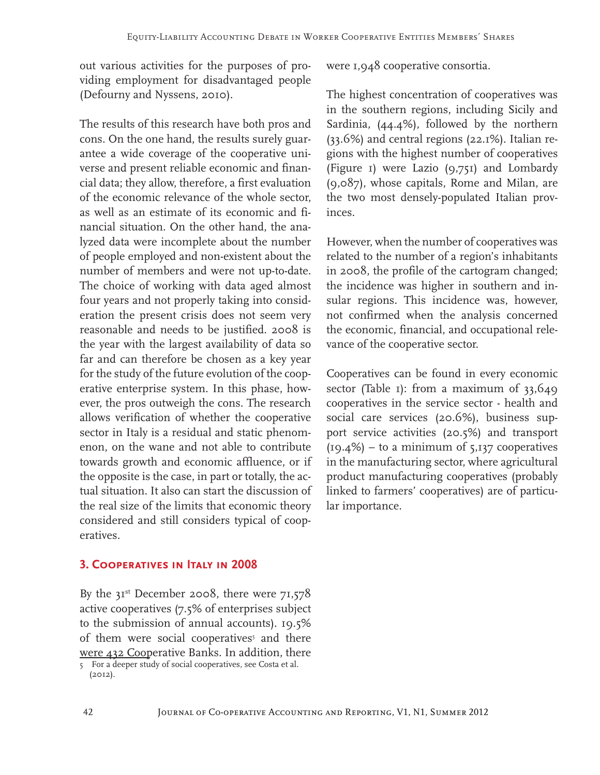out various activities for the purposes of providing employment for disadvantaged people (Defourny and Nyssens, 2010).

The results of this research have both pros and cons. On the one hand, the results surely guarantee a wide coverage of the cooperative universe and present reliable economic and financial data; they allow, therefore, a first evaluation of the economic relevance of the whole sector, as well as an estimate of its economic and financial situation. On the other hand, the analyzed data were incomplete about the number of people employed and non-existent about the number of members and were not up-to-date. The choice of working with data aged almost four years and not properly taking into consideration the present crisis does not seem very reasonable and needs to be justified. 2008 is the year with the largest availability of data so far and can therefore be chosen as a key year for the study of the future evolution of the cooperative enterprise system. In this phase, however, the pros outweigh the cons. The research allows verification of whether the cooperative sector in Italy is a residual and static phenomenon, on the wane and not able to contribute towards growth and economic affluence, or if the opposite is the case, in part or totally, the actual situation. It also can start the discussion of the real size of the limits that economic theory considered and still considers typical of cooperatives.

#### **3. Cooperatives in Italy in 2008**

By the  $3I^{st}$  December 2008, there were  $7I,578$ active cooperatives (7.5% of enterprises subject to the submission of annual accounts). 19.5% of them were social cooperatives<sup>5</sup> and there were 432 Cooperative Banks. In addition, there

5 For a deeper study of social cooperatives, see Costa et al. (2012).

were 1,948 cooperative consortia.

The highest concentration of cooperatives was in the southern regions, including Sicily and Sardinia, (44.4%), followed by the northern (33.6%) and central regions (22.1%). Italian regions with the highest number of cooperatives (Figure 1) were Lazio (9,751) and Lombardy (9,087), whose capitals, Rome and Milan, are the two most densely-populated Italian provinces.

However, when the number of cooperatives was related to the number of a region's inhabitants in 2008, the profile of the cartogram changed; the incidence was higher in southern and insular regions. This incidence was, however, not confirmed when the analysis concerned the economic, financial, and occupational relevance of the cooperative sector.

Cooperatives can be found in every economic sector (Table 1): from a maximum of 33,649 cooperatives in the service sector - health and social care services (20.6%), business support service activities (20.5%) and transport  $(19.4\%)$  – to a minimum of 5,137 cooperatives in the manufacturing sector, where agricultural product manufacturing cooperatives (probably linked to farmers' cooperatives) are of particular importance.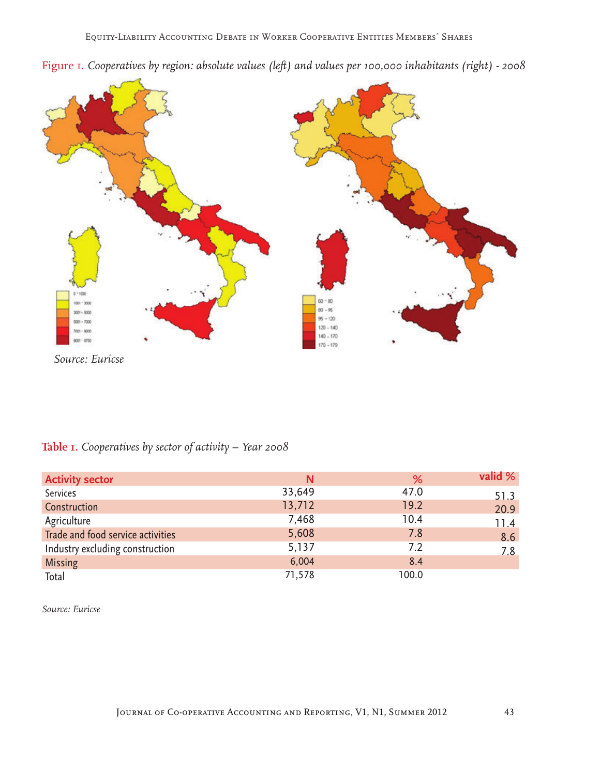



*Source: Euricse*

# **Table 1.** *Cooperatives by sector of activity – Year 2008*

| <b>Activity sector</b>            | N      | %     | valid % |
|-----------------------------------|--------|-------|---------|
| Services                          | 33,649 | 47.0  | 51.3    |
| Construction                      | 13,712 | 19.2  | 20.9    |
| Agriculture                       | 7,468  | 10.4  | 11.4    |
| Trade and food service activities | 5,608  | 7.8   | 8.6     |
| Industry excluding construction   | 5,137  | 7.2   | 7.8     |
| <b>Missing</b>                    | 6,004  | 8.4   |         |
| Total                             | 71,578 | 100.0 |         |

*Source: Euricse*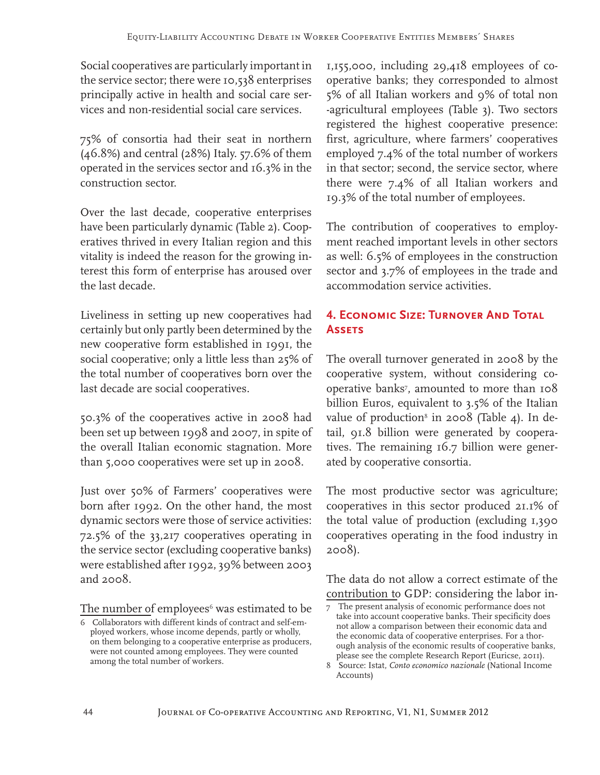Social cooperatives are particularly important in the service sector; there were 10,538 enterprises principally active in health and social care services and non-residential social care services.

75% of consortia had their seat in northern (46.8%) and central (28%) Italy. 57.6% of them operated in the services sector and 16.3% in the construction sector.

Over the last decade, cooperative enterprises have been particularly dynamic (Table 2). Cooperatives thrived in every Italian region and this vitality is indeed the reason for the growing interest this form of enterprise has aroused over the last decade.

Liveliness in setting up new cooperatives had certainly but only partly been determined by the new cooperative form established in 1991, the social cooperative; only a little less than 25% of the total number of cooperatives born over the last decade are social cooperatives.

50.3% of the cooperatives active in 2008 had been set up between 1998 and 2007, in spite of the overall Italian economic stagnation. More than 5,000 cooperatives were set up in 2008.

Just over 50% of Farmers' cooperatives were born after 1992. On the other hand, the most dynamic sectors were those of service activities: 72.5% of the 33,217 cooperatives operating in the service sector (excluding cooperative banks) were established after 1992, 39% between 2003 and 2008.

The number of employees<sup>6</sup> was estimated to be

1,155,000, including 29,418 employees of cooperative banks; they corresponded to almost 5% of all Italian workers and 9% of total non -agricultural employees (Table 3). Two sectors registered the highest cooperative presence: first, agriculture, where farmers' cooperatives employed 7.4% of the total number of workers in that sector; second, the service sector, where there were 7.4% of all Italian workers and 19.3% of the total number of employees.

The contribution of cooperatives to employment reached important levels in other sectors as well: 6.5% of employees in the construction sector and 3.7% of employees in the trade and accommodation service activities.

# **4. ECONOMIC SIZE: TURNOVER AND TOTAL Assets**

The overall turnover generated in 2008 by the cooperative system, without considering cooperative banks7 , amounted to more than 108 billion Euros, equivalent to 3.5% of the Italian value of production $^8$  in 2008 (Table 4). In detail, 91.8 billion were generated by cooperatives. The remaining 16.7 billion were generated by cooperative consortia.

The most productive sector was agriculture; cooperatives in this sector produced 21.1% of the total value of production (excluding 1,390 cooperatives operating in the food industry in 2008).

The data do not allow a correct estimate of the contribution to GDP: considering the labor in-

<sup>6</sup> Collaborators with different kinds of contract and self-employed workers, whose income depends, partly or wholly, on them belonging to a cooperative enterprise as producers, were not counted among employees. They were counted among the total number of workers.

<sup>7</sup> The present analysis of economic performance does not take into account cooperative banks. Their specificity does not allow a comparison between their economic data and the economic data of cooperative enterprises. For a thorough analysis of the economic results of cooperative banks, please see the complete Research Report (Euricse, 2011).

<sup>8</sup> Source: Istat, *Conto economico nazionale* (National Income Accounts)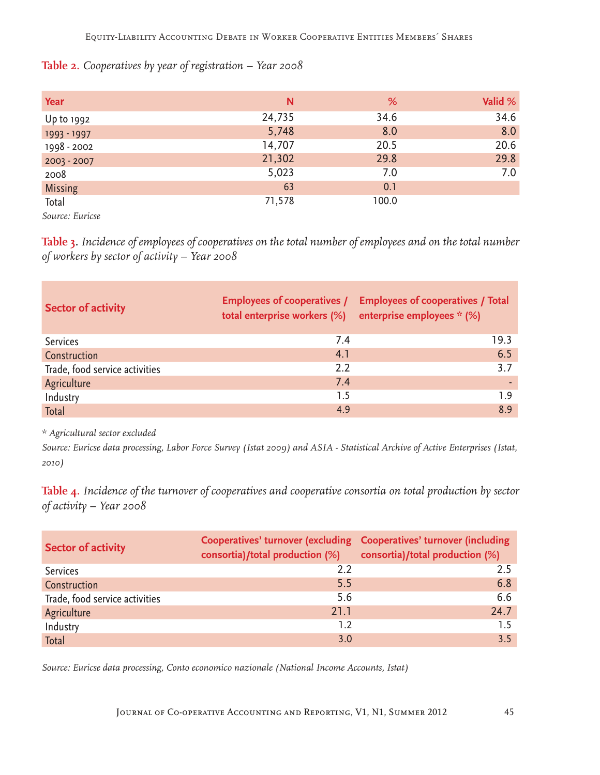## **Table 2.** *Cooperatives by year of registration – Year 2008*

| <b>Year</b>    | N      | %     | Valid % |
|----------------|--------|-------|---------|
| Up to 1992     | 24,735 | 34.6  | 34.6    |
| 1993 - 1997    | 5,748  | 8.0   | 8.0     |
| 1998 - 2002    | 14,707 | 20.5  | 20.6    |
| 2003 - 2007    | 21,302 | 29.8  | 29.8    |
| 2008           | 5,023  | 7.0   | 7.0     |
| <b>Missing</b> | 63     | 0.1   |         |
| Total          | 71,578 | 100.0 |         |

*Source: Euricse*

**Table 3.** *Incidence of employees of cooperatives on the total number of employees and on the total number of workers by sector of activity – Year 2008*

| <b>Sector of activity</b>      | total enterprise workers (%) | Employees of cooperatives / Employees of cooperatives / Total<br>enterprise employees * (%) |
|--------------------------------|------------------------------|---------------------------------------------------------------------------------------------|
| <b>Services</b>                | 7.4                          | 19.3                                                                                        |
| Construction                   | 4.1                          | 6.5                                                                                         |
| Trade, food service activities | 2.2                          | 3.7                                                                                         |
| Agriculture                    | 7.4                          |                                                                                             |
| Industry                       | 1.5                          | 19                                                                                          |
| Total                          | 4.9                          | 8.9                                                                                         |

*\* Agricultural sector excluded*

*Source: Euricse data processing, Labor Force Survey (Istat 2009) and ASIA - Statistical Archive of Active Enterprises (Istat, 2010)*

**Table 4.** *Incidence of the turnover of cooperatives and cooperative consortia on total production by sector of activity – Year 2008*

| <b>Sector of activity</b>      | Cooperatives' turnover (excluding Cooperatives' turnover (including<br>consortia)/total production (%) consortia)/total production (%) |      |
|--------------------------------|----------------------------------------------------------------------------------------------------------------------------------------|------|
| <b>Services</b>                | 2.2                                                                                                                                    | 2.5  |
| Construction                   | 5.5                                                                                                                                    | 6.8  |
| Trade, food service activities | 5.6                                                                                                                                    | 6.6  |
| Agriculture                    | 21.1                                                                                                                                   | 24.7 |
| Industry                       | 1.2                                                                                                                                    | 15   |
| Total                          | 3.0                                                                                                                                    | 35   |

*Source: Euricse data processing, Conto economico nazionale (National Income Accounts, Istat)*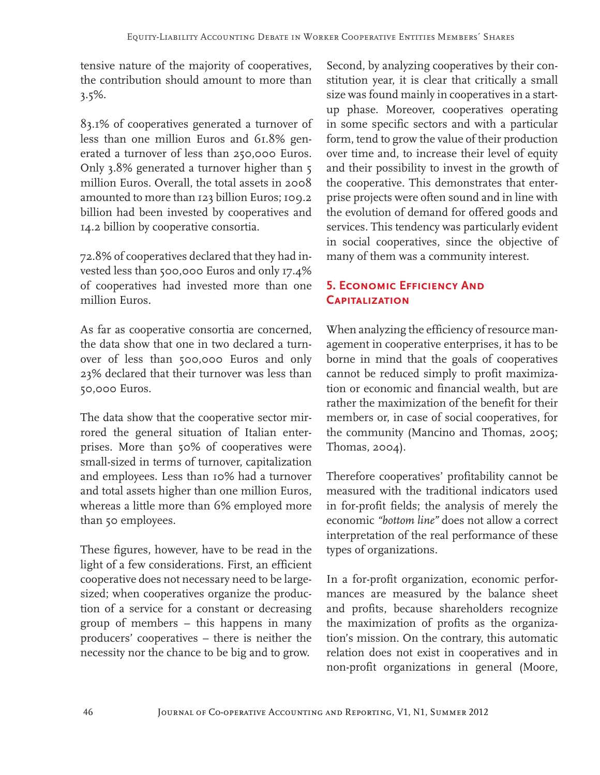tensive nature of the majority of cooperatives, the contribution should amount to more than 3.5%.

83.1% of cooperatives generated a turnover of less than one million Euros and 61.8% generated a turnover of less than 250,000 Euros. Only 3.8% generated a turnover higher than 5 million Euros. Overall, the total assets in 2008 amounted to more than 123 billion Euros; 109.2 billion had been invested by cooperatives and 14.2 billion by cooperative consortia.

72.8% of cooperatives declared that they had invested less than 500,000 Euros and only 17.4% of cooperatives had invested more than one million Euros.

As far as cooperative consortia are concerned, the data show that one in two declared a turnover of less than 500,000 Euros and only 23% declared that their turnover was less than 50,000 Euros.

The data show that the cooperative sector mirrored the general situation of Italian enterprises. More than 50% of cooperatives were small-sized in terms of turnover, capitalization and employees. Less than 10% had a turnover and total assets higher than one million Euros, whereas a little more than 6% employed more than 50 employees.

These figures, however, have to be read in the light of a few considerations. First, an efficient cooperative does not necessary need to be largesized; when cooperatives organize the production of a service for a constant or decreasing group of members – this happens in many producers' cooperatives – there is neither the necessity nor the chance to be big and to grow.

Second, by analyzing cooperatives by their constitution year, it is clear that critically a small size was found mainly in cooperatives in a startup phase. Moreover, cooperatives operating in some specific sectors and with a particular form, tend to grow the value of their production over time and, to increase their level of equity and their possibility to invest in the growth of the cooperative. This demonstrates that enterprise projects were often sound and in line with the evolution of demand for offered goods and services. This tendency was particularly evident in social cooperatives, since the objective of many of them was a community interest.

# **5. ECONOMIC EFFICIENCY AND Capitalization**

When analyzing the efficiency of resource management in cooperative enterprises, it has to be borne in mind that the goals of cooperatives cannot be reduced simply to profit maximization or economic and financial wealth, but are rather the maximization of the benefit for their members or, in case of social cooperatives, for the community (Mancino and Thomas, 2005; Thomas, 2004).

Therefore cooperatives' profitability cannot be measured with the traditional indicators used in for-profit fields; the analysis of merely the economic *"bottom line"* does not allow a correct interpretation of the real performance of these types of organizations.

In a for-profit organization, economic performances are measured by the balance sheet and profits, because shareholders recognize the maximization of profits as the organization's mission. On the contrary, this automatic relation does not exist in cooperatives and in non-profit organizations in general (Moore,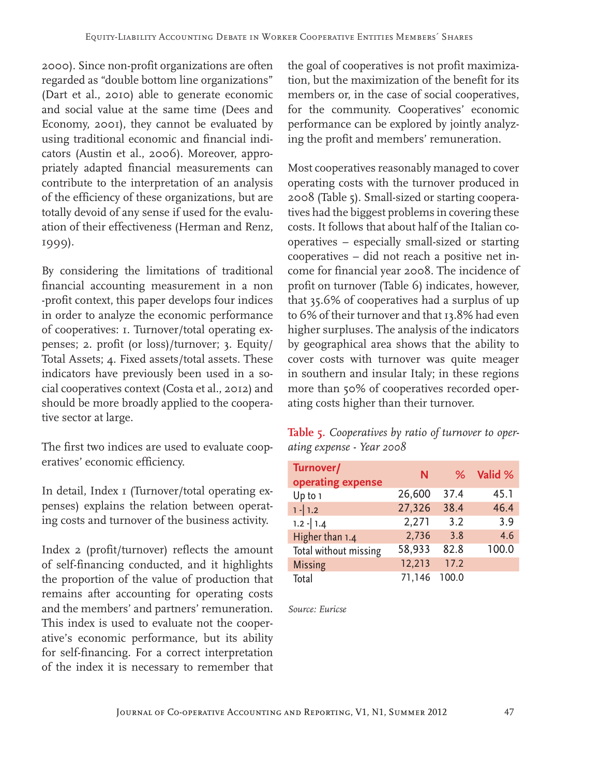2000). Since non-profit organizations are often regarded as "double bottom line organizations" (Dart et al., 2010) able to generate economic and social value at the same time (Dees and Economy, 2001), they cannot be evaluated by using traditional economic and financial indicators (Austin et al., 2006). Moreover, appropriately adapted financial measurements can contribute to the interpretation of an analysis of the efficiency of these organizations, but are totally devoid of any sense if used for the evaluation of their effectiveness (Herman and Renz, 1999).

By considering the limitations of traditional financial accounting measurement in a non -profit context, this paper develops four indices in order to analyze the economic performance of cooperatives: 1. Turnover/total operating expenses; 2. profit (or loss)/turnover; 3. Equity/ Total Assets; 4. Fixed assets/total assets. These indicators have previously been used in a social cooperatives context (Costa et al., 2012) and should be more broadly applied to the cooperative sector at large.

The first two indices are used to evaluate cooperatives' economic efficiency.

In detail, Index I (Turnover/total operating expenses) explains the relation between operating costs and turnover of the business activity.

Index 2 (profit/turnover) reflects the amount of self-financing conducted, and it highlights the proportion of the value of production that remains after accounting for operating costs and the members' and partners' remuneration. This index is used to evaluate not the cooperative's economic performance, but its ability for self-financing. For a correct interpretation of the index it is necessary to remember that

the goal of cooperatives is not profit maximization, but the maximization of the benefit for its members or, in the case of social cooperatives, for the community. Cooperatives' economic performance can be explored by jointly analyzing the profit and members' remuneration.

Most cooperatives reasonably managed to cover operating costs with the turnover produced in 2008 (Table 5). Small-sized or starting cooperatives had the biggest problems in covering these costs. It follows that about half of the Italian cooperatives – especially small-sized or starting cooperatives – did not reach a positive net income for financial year 2008. The incidence of profit on turnover (Table 6) indicates, however, that 35.6% of cooperatives had a surplus of up to 6% of their turnover and that 13.8% had even higher surpluses. The analysis of the indicators by geographical area shows that the ability to cover costs with turnover was quite meager in southern and insular Italy; in these regions more than 50% of cooperatives recorded operating costs higher than their turnover.

**Table 5.** *Cooperatives by ratio of turnover to operating expense - Year 2008*

| Turnover/<br>operating expense | N      | %     | Valid % |
|--------------------------------|--------|-------|---------|
| Up to 1                        | 26,600 | 37.4  | 45.1    |
| $1 - 1.2$                      | 27,326 | 38.4  | 46.4    |
| $1.2 - 1.4$                    | 2,271  | 3.2   | 3.9     |
| Higher than 1.4                | 2,736  | 3.8   | 4.6     |
| Total without missing          | 58,933 | 82.8  | 100.0   |
| <b>Missing</b>                 | 12,213 | 17.2  |         |
| Total                          | 71,146 | 100.0 |         |

*Source: Euricse*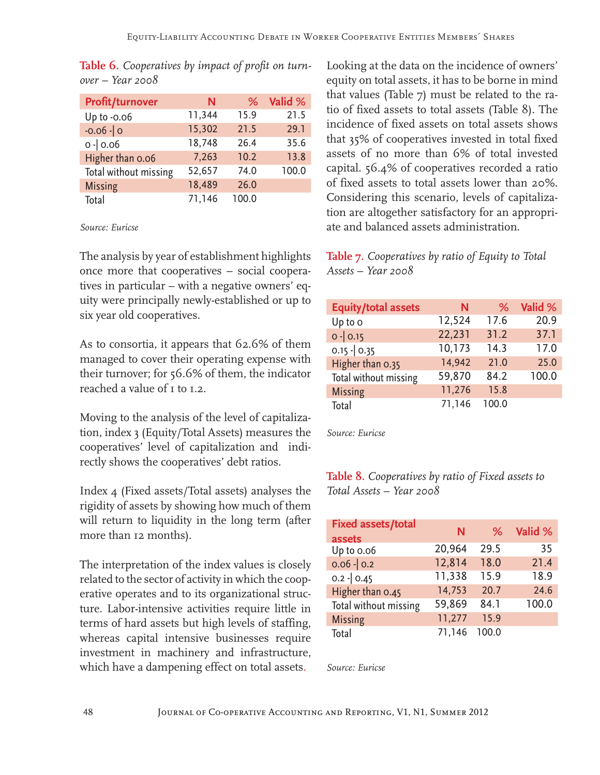| <b>Profit/turnover</b> | N      | ℅     | Valid % |
|------------------------|--------|-------|---------|
| Up to -0.06            | 11,344 | 15.9  | 21.5    |
| $-0.06 - 0$            | 15,302 | 21.5  | 29.1    |
| $0 - 0.06$             | 18,748 | 26.4  | 35.6    |
| Higher than 0.06       | 7,263  | 10.2  | 13.8    |
| Total without missing  | 52,657 | 74.0  | 100.0   |
| <b>Missing</b>         | 18,489 | 26.0  |         |
| Total                  | 71,146 | 100.0 |         |

**Table 6.** *Cooperatives by impact of profit on turnover – Year 2008*

#### *Source: Euricse*

The analysis by year of establishment highlights once more that cooperatives – social cooperatives in particular – with a negative owners' equity were principally newly-established or up to six year old cooperatives.

As to consortia, it appears that 62.6% of them managed to cover their operating expense with their turnover; for 56.6% of them, the indicator reached a value of 1 to 1.2.

Moving to the analysis of the level of capitalization, index 3 (Equity/Total Assets) measures the cooperatives' level of capitalization and indirectly shows the cooperatives' debt ratios.

Index 4 (Fixed assets/Total assets) analyses the rigidity of assets by showing how much of them will return to liquidity in the long term (after more than 12 months).

The interpretation of the index values is closely related to the sector of activity in which the cooperative operates and to its organizational structure. Labor-intensive activities require little in terms of hard assets but high levels of staffing, whereas capital intensive businesses require investment in machinery and infrastructure, which have a dampening effect on total assets.

Looking at the data on the incidence of owners' equity on total assets, it has to be borne in mind that values (Table 7) must be related to the ratio of fixed assets to total assets (Table 8). The incidence of fixed assets on total assets shows that 35% of cooperatives invested in total fixed assets of no more than 6% of total invested capital. 56.4% of cooperatives recorded a ratio of fixed assets to total assets lower than 20%. Considering this scenario, levels of capitalization are altogether satisfactory for an appropriate and balanced assets administration.

# **Table 7.** *Cooperatives by ratio of Equity to Total Assets – Year 2008*

| <b>Equity/total assets</b> | Ν      | ℅     | Valid % |
|----------------------------|--------|-------|---------|
| Up to o                    | 12,524 | 17.6  | 20.9    |
| $0 - 0.15$                 | 22,231 | 31.2  | 37.1    |
| $0.15 - 0.35$              | 10,173 | 14.3  | 17.0    |
| Higher than 0.35           | 14,942 | 21.0  | 25.0    |
| Total without missing      | 59,870 | 84.2  | 100.0   |
| <b>Missing</b>             | 11,276 | 15.8  |         |
| Total                      | 71,146 | 100.0 |         |

*Source: Euricse*

# **Table 8.** *Cooperatives by ratio of Fixed assets to Total Assets – Year 2008*

| <b>Fixed assets/total</b><br>assets | N      | ℅     | Valid % |
|-------------------------------------|--------|-------|---------|
| Up to 0.06                          | 20,964 | 29.5  | 35      |
| $0.06 - 0.2$                        | 12,814 | 18.0  | 21.4    |
| $0.2 - 0.45$                        | 11,338 | 15.9  | 18.9    |
| Higher than 0.45                    | 14,753 | 20.7  | 24.6    |
| Total without missing               | 59,869 | 84.1  | 100.0   |
| <b>Missing</b>                      | 11,277 | 15.9  |         |
| Total                               | 71,146 | 100.0 |         |

*Source: Euricse*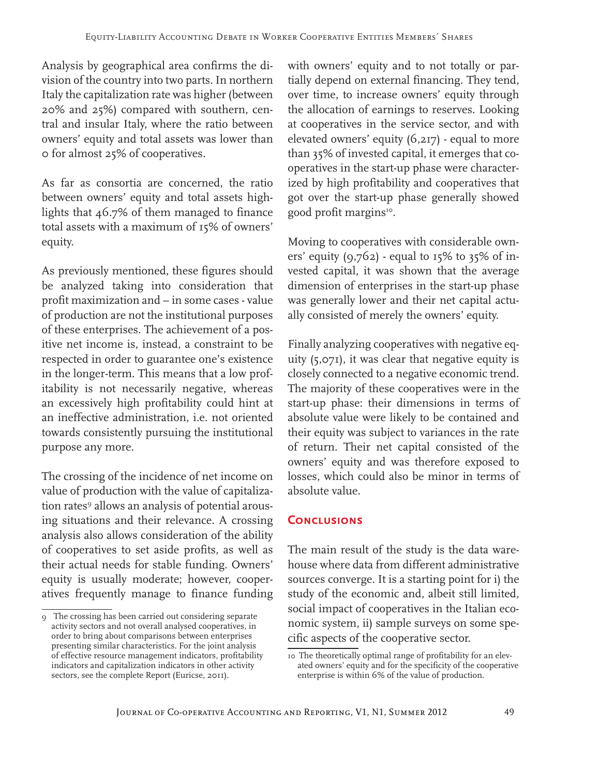Analysis by geographical area confirms the division of the country into two parts. In northern Italy the capitalization rate was higher (between 20% and 25%) compared with southern, central and insular Italy, where the ratio between owners' equity and total assets was lower than 0 for almost 25% of cooperatives.

As far as consortia are concerned, the ratio between owners' equity and total assets highlights that 46.7% of them managed to finance total assets with a maximum of 15% of owners' equity.

As previously mentioned, these figures should be analyzed taking into consideration that profit maximization and – in some cases - value of production are not the institutional purposes of these enterprises. The achievement of a positive net income is, instead, a constraint to be respected in order to guarantee one's existence in the longer-term. This means that a low profitability is not necessarily negative, whereas an excessively high profitability could hint at an ineffective administration, i.e. not oriented towards consistently pursuing the institutional purpose any more.

The crossing of the incidence of net income on value of production with the value of capitalization rates<sup>9</sup> allows an analysis of potential arousing situations and their relevance. A crossing analysis also allows consideration of the ability of cooperatives to set aside profits, as well as their actual needs for stable funding. Owners' equity is usually moderate; however, cooperatives frequently manage to finance funding

with owners' equity and to not totally or partially depend on external financing. They tend, over time, to increase owners' equity through the allocation of earnings to reserves. Looking at cooperatives in the service sector, and with elevated owners' equity (6,217) - equal to more than 35% of invested capital, it emerges that cooperatives in the start-up phase were characterized by high profitability and cooperatives that got over the start-up phase generally showed good profit margins<sup>10</sup>.

Moving to cooperatives with considerable owners' equity  $(9,762)$  - equal to  $15\%$  to  $35\%$  of invested capital, it was shown that the average dimension of enterprises in the start-up phase was generally lower and their net capital actually consisted of merely the owners' equity.

Finally analyzing cooperatives with negative equity (5,071), it was clear that negative equity is closely connected to a negative economic trend. The majority of these cooperatives were in the start-up phase: their dimensions in terms of absolute value were likely to be contained and their equity was subject to variances in the rate of return. Their net capital consisted of the owners' equity and was therefore exposed to losses, which could also be minor in terms of absolute value.

# **Conclusions**

The main result of the study is the data warehouse where data from different administrative sources converge. It is a starting point for i) the study of the economic and, albeit still limited, social impact of cooperatives in the Italian economic system, ii) sample surveys on some specific aspects of the cooperative sector.

<sup>9</sup> The crossing has been carried out considering separate activity sectors and not overall analysed cooperatives, in order to bring about comparisons between enterprises presenting similar characteristics. For the joint analysis of effective resource management indicators, profitability indicators and capitalization indicators in other activity sectors, see the complete Report (Euricse, 2011).

<sup>10</sup> The theoretically optimal range of profitability for an elevated owners' equity and for the specificity of the cooperative enterprise is within 6% of the value of production.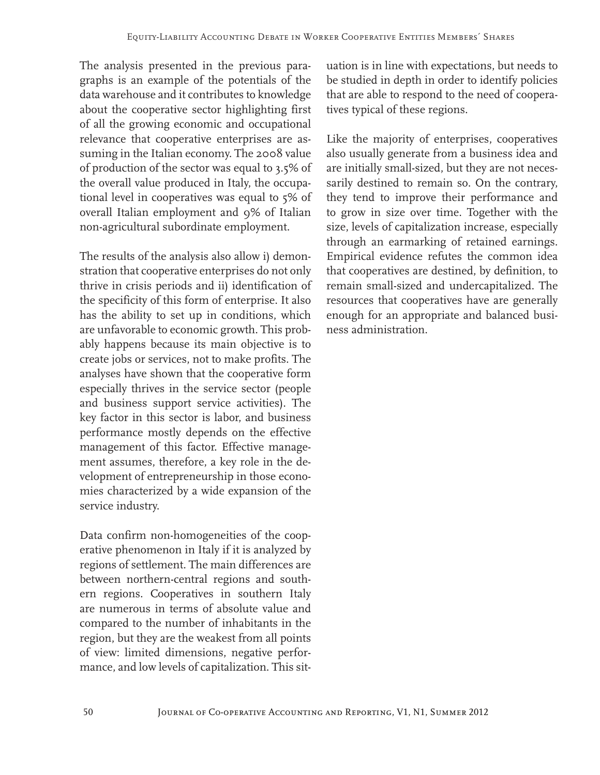The analysis presented in the previous paragraphs is an example of the potentials of the data warehouse and it contributes to knowledge about the cooperative sector highlighting first of all the growing economic and occupational relevance that cooperative enterprises are assuming in the Italian economy. The 2008 value of production of the sector was equal to 3.5% of the overall value produced in Italy, the occupational level in cooperatives was equal to 5% of overall Italian employment and 9% of Italian non-agricultural subordinate employment.

The results of the analysis also allow i) demonstration that cooperative enterprises do not only thrive in crisis periods and ii) identification of the specificity of this form of enterprise. It also has the ability to set up in conditions, which are unfavorable to economic growth. This probably happens because its main objective is to create jobs or services, not to make profits. The analyses have shown that the cooperative form especially thrives in the service sector (people and business support service activities). The key factor in this sector is labor, and business performance mostly depends on the effective management of this factor. Effective management assumes, therefore, a key role in the development of entrepreneurship in those economies characterized by a wide expansion of the service industry.

Data confirm non-homogeneities of the cooperative phenomenon in Italy if it is analyzed by regions of settlement. The main differences are between northern-central regions and southern regions. Cooperatives in southern Italy are numerous in terms of absolute value and compared to the number of inhabitants in the region, but they are the weakest from all points of view: limited dimensions, negative performance, and low levels of capitalization. This situation is in line with expectations, but needs to be studied in depth in order to identify policies that are able to respond to the need of cooperatives typical of these regions.

Like the majority of enterprises, cooperatives also usually generate from a business idea and are initially small-sized, but they are not necessarily destined to remain so. On the contrary, they tend to improve their performance and to grow in size over time. Together with the size, levels of capitalization increase, especially through an earmarking of retained earnings. Empirical evidence refutes the common idea that cooperatives are destined, by definition, to remain small-sized and undercapitalized. The resources that cooperatives have are generally enough for an appropriate and balanced business administration.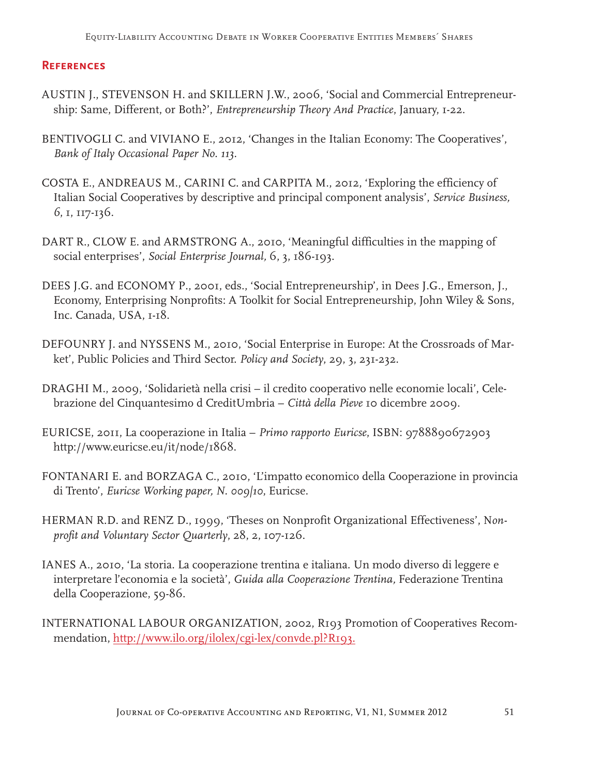## **References**

- AUSTIN J., STEVENSON H. and SKILLERN J.W., 2006, 'Social and Commercial Entrepreneurship: Same, Different, or Both?', *Entrepreneurship Theory And Practice*, January, 1-22.
- BENTIVOGLI C. and VIVIANO E., 2012, 'Changes in the Italian Economy: The Cooperatives', *Bank of Italy Occasional Paper No. 113.*
- COSTA E., ANDREAUS M., CARINI C. and CARPITA M., 2012, 'Exploring the efficiency of Italian Social Cooperatives by descriptive and principal component analysis', *Service Business, 6*, 1, 117-136.
- DART R., CLOW E. and ARMSTRONG A., 2010, 'Meaningful difficulties in the mapping of social enterprises', *Social Enterprise Journal,* 6, 3, 186-193.
- DEES J.G. and ECONOMY P., 2001, eds., 'Social Entrepreneurship', in Dees J.G., Emerson, J., Economy, Enterprising Nonprofits: A Toolkit for Social Entrepreneurship, John Wiley & Sons, Inc. Canada, USA, 1-18.
- DEFOUNRY J. and NYSSENS M., 2010, 'Social Enterprise in Europe: At the Crossroads of Market', Public Policies and Third Sector. *Policy and Society*, 29, 3, 231-232.
- DRAGHI M., 2009, 'Solidarietà nella crisi il credito cooperativo nelle economie locali', Celebrazione del Cinquantesimo d CreditUmbria – *Città della Pieve* 10 dicembre 2009.
- EURICSE, 2011, La cooperazione in Italia *Primo rapporto Euricse*, ISBN: 9788890672903 http://www.euricse.eu/it/node/1868.
- FONTANARI E. and BORZAGA C., 2010, 'L'impatto economico della Cooperazione in provincia di Trento', *Euricse Working paper, N. 009|10*, Euricse.
- HERMAN R.D. and RENZ D., 1999, 'Theses on Nonprofit Organizational Effectiveness', N*onprofit and Voluntary Sector Quarterly*, 28, 2, 107-126.
- IANES A., 2010, 'La storia. La cooperazione trentina e italiana. Un modo diverso di leggere e interpretare l'economia e la società', *Guida alla Cooperazione Trentina,* Federazione Trentina della Cooperazione, 59-86.
- INTERNATIONAL LABOUR ORGANIZATION, 2002, R193 Promotion of Cooperatives Recommendation, http://www.ilo.org/ilolex/cgi-lex/convde.pl?R193.